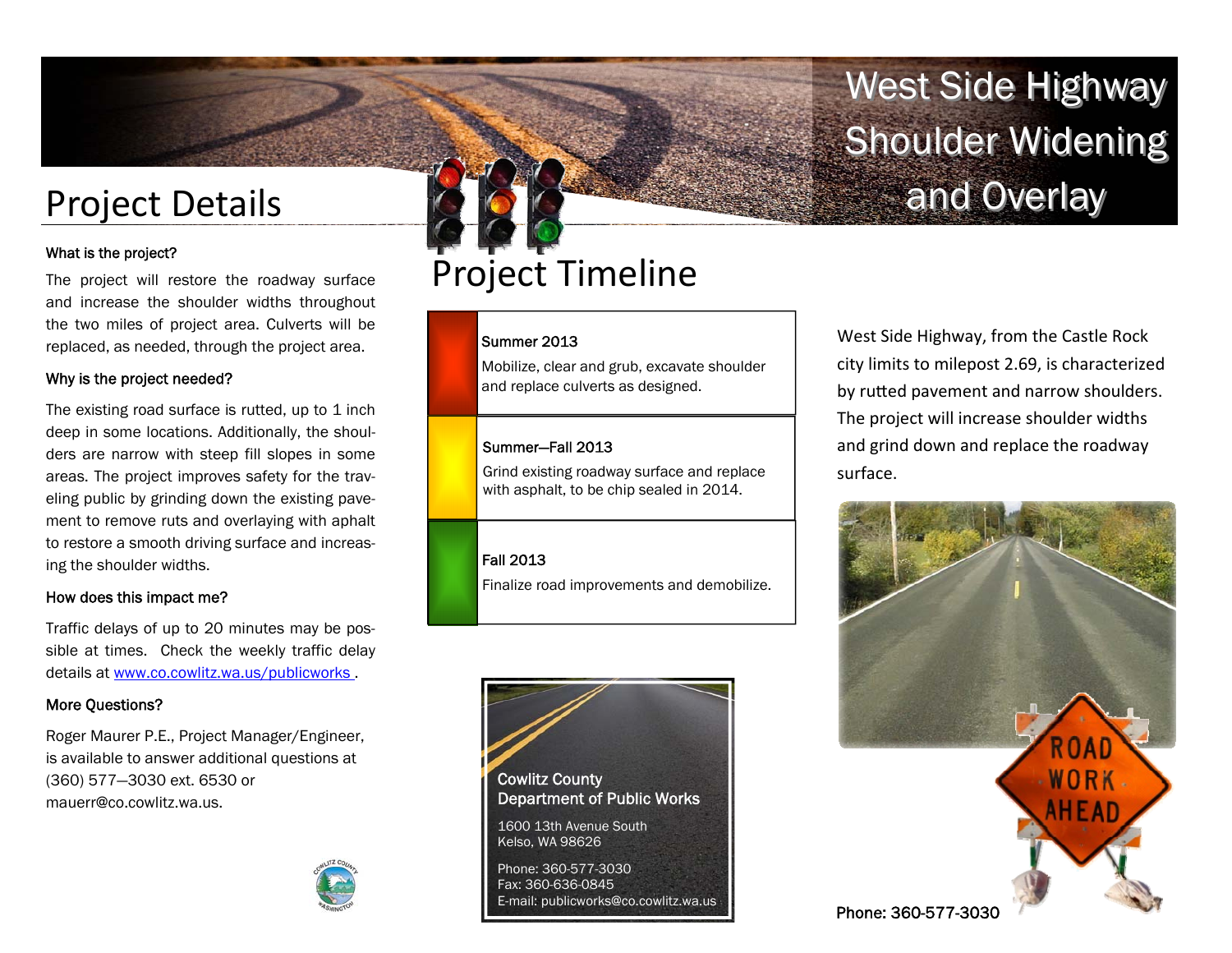# Project Details

# What is the project?

The project will restore the roadway surface and increase the shoulder widths throughout the two miles of project area. Culverts will be replaced, as needed, through the project area.

# Why is the project needed?

The existing road surface is rutted, up to  $1$  inch deep in some locations. Additionally, the shoulders are narrow with steep fill slopes in some areas. The project improves safety for the traveling public by grinding down the existing pavement to remove ruts and overlaying with aphalt to restore a smooth driving surface and increasing the shoulder widths.

# How does this impact me?

Traffic delays of up to 20 minutes may be possible at times. Check the weekly traffic delay details at www.co.cowlitz.wa.us/publicworks .

# More Questions?

Roger Maurer P.E., Project Manager/Engineer, is available to answer additional questions at (360) 577—3030 ext. 6530 or mauerr@co.cowlitz.wa.us.



# Project Timeline

### Summer 2013

Mobilize, clear and grub, excavate shoulder and replace culverts as designed.

### Summer—Fall 2013

Grind existing roadway surface and replace with asphalt, to be chip sealed in 2014.

# Fall 2013

Finalize road improvements and demobilize.



West Side Highway, from the Castle Rock city limits to milepost 2.69, is characterized by rutted pavement and narrow shoulders. The project will increase shoulder widths and grind down and replace the roadway surface.

West Side Highway

**Shoulder Widening** 

and Overlay